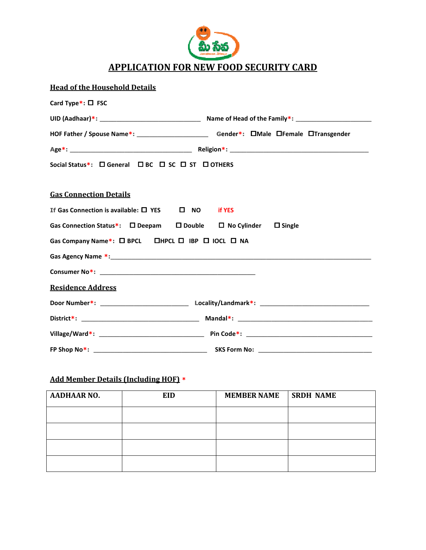

| <b>Head of the Household Details</b>                                                                |                                                                                                 |
|-----------------------------------------------------------------------------------------------------|-------------------------------------------------------------------------------------------------|
| Card Type $*$ : $\Box$ FSC                                                                          |                                                                                                 |
|                                                                                                     |                                                                                                 |
|                                                                                                     | HOF Father / Spouse Name*: _________________________________Gender*: DMale DFemale DTransgender |
|                                                                                                     |                                                                                                 |
| Social Status*: □ General □ BC □ SC □ ST □ OTHERS                                                   |                                                                                                 |
| <b>Gas Connection Details</b>                                                                       |                                                                                                 |
| If Gas Connection is available: □ YES □ NO if YES                                                   |                                                                                                 |
| Gas Connection Status*:<br>$\square$ Deepam $\square$ Double $\square$ No Cylinder $\square$ Single |                                                                                                 |
| Gas Company Name*: O BPCL  OHPCL  O IBP  O IOCL  O NA                                               |                                                                                                 |
|                                                                                                     |                                                                                                 |
|                                                                                                     |                                                                                                 |
| <b>Residence Address</b>                                                                            |                                                                                                 |
|                                                                                                     |                                                                                                 |
|                                                                                                     |                                                                                                 |
|                                                                                                     |                                                                                                 |
|                                                                                                     |                                                                                                 |

## Add Member Details (Including HOF) \*

| <b>AADHAAR NO.</b> | EID | <b>MEMBER NAME</b> | <b>SRDH NAME</b> |
|--------------------|-----|--------------------|------------------|
|                    |     |                    |                  |
|                    |     |                    |                  |
|                    |     |                    |                  |
|                    |     |                    |                  |